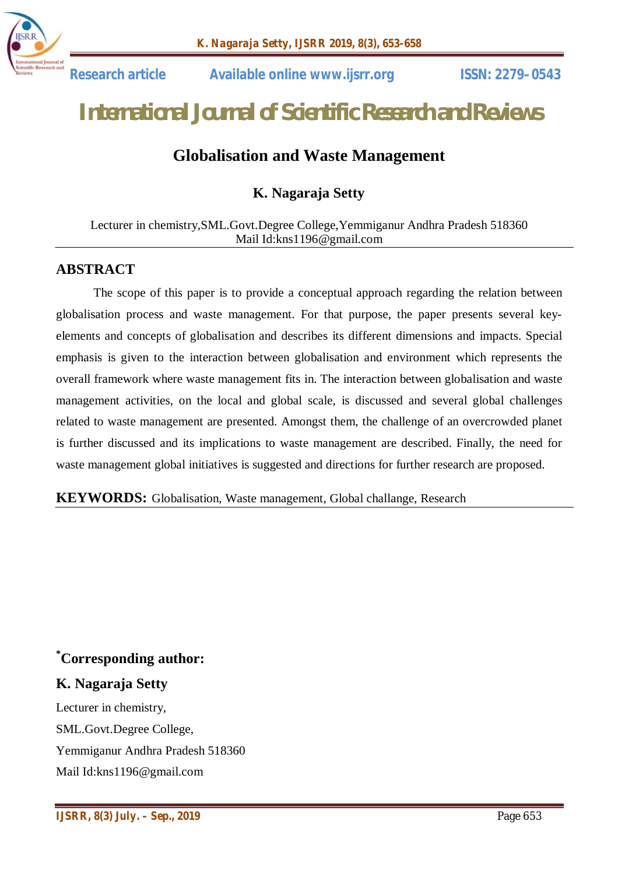

 **Research article Available online www.ijsrr.org ISSN: 2279–0543**

# *International Journal of Scientific Research and Reviews*

# **Globalisation and Waste Management**

**K. Nagaraja Setty**

#### Lecturer in chemistry,SML.Govt.Degree College,Yemmiganur Andhra Pradesh 518360 Mail Id:kns1196@gmail.com

## **ABSTRACT**

The scope of this paper is to provide a conceptual approach regarding the relation between globalisation process and waste management. For that purpose, the paper presents several keyelements and concepts of globalisation and describes its different dimensions and impacts. Special emphasis is given to the interaction between globalisation and environment which represents the overall framework where waste management fits in. The interaction between globalisation and waste management activities, on the local and global scale, is discussed and several global challenges related to waste management are presented. Amongst them, the challenge of an overcrowded planet is further discussed and its implications to waste management are described. Finally, the need for waste management global initiatives is suggested and directions for further research are proposed.

#### **KEYWORDS:** Globalisation, Waste management, Global challange, Research

# **\*Corresponding author:**

## **K. Nagaraja Setty**

Lecturer in chemistry, SML.Govt.Degree College, Yemmiganur Andhra Pradesh 518360 Mail Id:kns1196@gmail.com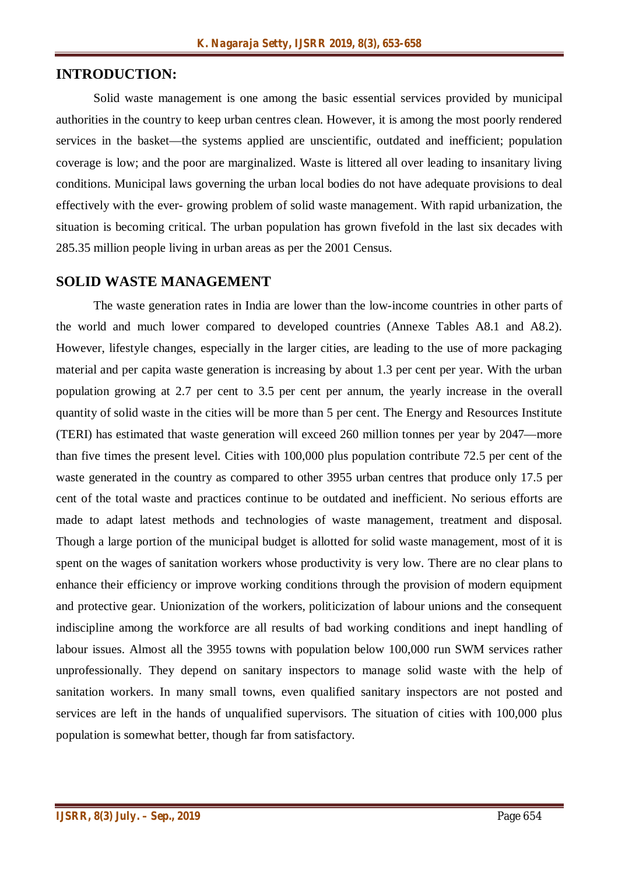# **INTRODUCTION:**

Solid waste management is one among the basic essential services provided by municipal authorities in the country to keep urban centres clean. However, it is among the most poorly rendered services in the basket—the systems applied are unscientific, outdated and inefficient; population coverage is low; and the poor are marginalized. Waste is littered all over leading to insanitary living conditions. Municipal laws governing the urban local bodies do not have adequate provisions to deal effectively with the ever- growing problem of solid waste management. With rapid urbanization, the situation is becoming critical. The urban population has grown fivefold in the last six decades with 285.35 million people living in urban areas as per the 2001 Census.

#### **SOLID WASTE MANAGEMENT**

The waste generation rates in India are lower than the low-income countries in other parts of the world and much lower compared to developed countries (Annexe Tables A8.1 and A8.2). However, lifestyle changes, especially in the larger cities, are leading to the use of more packaging material and per capita waste generation is increasing by about 1.3 per cent per year. With the urban population growing at 2.7 per cent to 3.5 per cent per annum, the yearly increase in the overall quantity of solid waste in the cities will be more than 5 per cent. The Energy and Resources Institute (TERI) has estimated that waste generation will exceed 260 million tonnes per year by 2047—more than five times the present level. Cities with 100,000 plus population contribute 72.5 per cent of the waste generated in the country as compared to other 3955 urban centres that produce only 17.5 per cent of the total waste and practices continue to be outdated and inefficient. No serious efforts are made to adapt latest methods and technologies of waste management, treatment and disposal. Though a large portion of the municipal budget is allotted for solid waste management, most of it is spent on the wages of sanitation workers whose productivity is very low. There are no clear plans to enhance their efficiency or improve working conditions through the provision of modern equipment and protective gear. Unionization of the workers, politicization of labour unions and the consequent indiscipline among the workforce are all results of bad working conditions and inept handling of labour issues. Almost all the 3955 towns with population below 100,000 run SWM services rather unprofessionally. They depend on sanitary inspectors to manage solid waste with the help of sanitation workers. In many small towns, even qualified sanitary inspectors are not posted and services are left in the hands of unqualified supervisors. The situation of cities with 100,000 plus population is somewhat better, though far from satisfactory.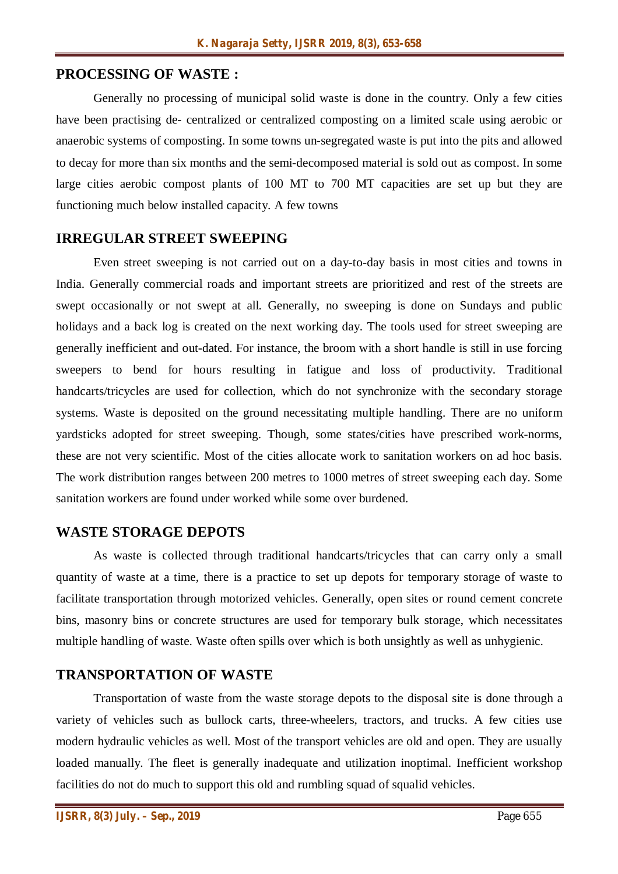#### **PROCESSING OF WASTE :**

Generally no processing of municipal solid waste is done in the country. Only a few cities have been practising de- centralized or centralized composting on a limited scale using aerobic or anaerobic systems of composting. In some towns un-segregated waste is put into the pits and allowed to decay for more than six months and the semi-decomposed material is sold out as compost. In some large cities aerobic compost plants of 100 MT to 700 MT capacities are set up but they are functioning much below installed capacity. A few towns

#### **IRREGULAR STREET SWEEPING**

Even street sweeping is not carried out on a day-to-day basis in most cities and towns in India. Generally commercial roads and important streets are prioritized and rest of the streets are swept occasionally or not swept at all. Generally, no sweeping is done on Sundays and public holidays and a back log is created on the next working day. The tools used for street sweeping are generally inefficient and out-dated. For instance, the broom with a short handle is still in use forcing sweepers to bend for hours resulting in fatigue and loss of productivity. Traditional handcarts/tricycles are used for collection, which do not synchronize with the secondary storage systems. Waste is deposited on the ground necessitating multiple handling. There are no uniform yardsticks adopted for street sweeping. Though, some states/cities have prescribed work-norms, these are not very scientific. Most of the cities allocate work to sanitation workers on ad hoc basis. The work distribution ranges between 200 metres to 1000 metres of street sweeping each day. Some sanitation workers are found under worked while some over burdened.

#### **WASTE STORAGE DEPOTS**

As waste is collected through traditional handcarts/tricycles that can carry only a small quantity of waste at a time, there is a practice to set up depots for temporary storage of waste to facilitate transportation through motorized vehicles. Generally, open sites or round cement concrete bins, masonry bins or concrete structures are used for temporary bulk storage, which necessitates multiple handling of waste. Waste often spills over which is both unsightly as well as unhygienic.

#### **TRANSPORTATION OF WASTE**

Transportation of waste from the waste storage depots to the disposal site is done through a variety of vehicles such as bullock carts, three-wheelers, tractors, and trucks. A few cities use modern hydraulic vehicles as well. Most of the transport vehicles are old and open. They are usually loaded manually. The fleet is generally inadequate and utilization inoptimal. Inefficient workshop facilities do not do much to support this old and rumbling squad of squalid vehicles.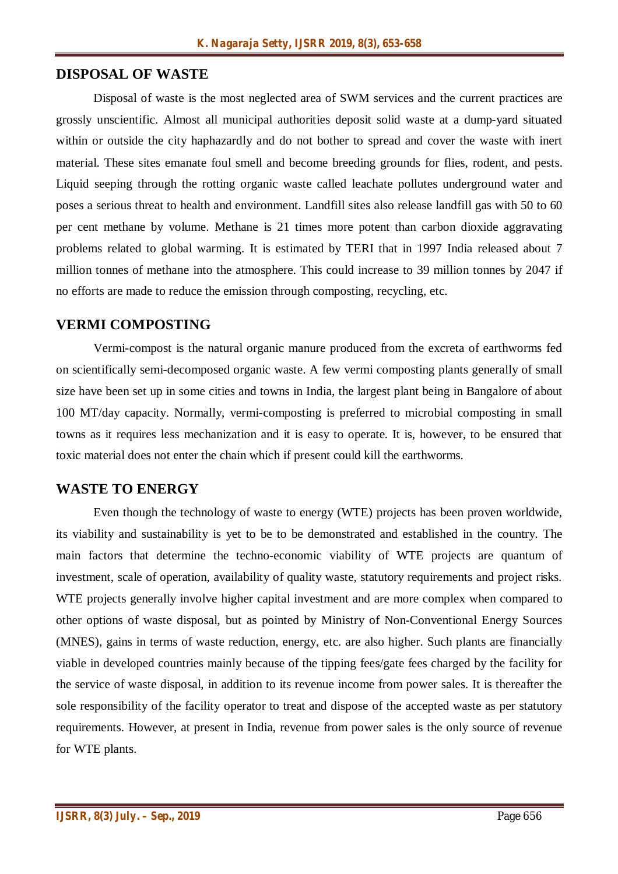#### **DISPOSAL OF WASTE**

Disposal of waste is the most neglected area of SWM services and the current practices are grossly unscientific. Almost all municipal authorities deposit solid waste at a dump-yard situated within or outside the city haphazardly and do not bother to spread and cover the waste with inert material. These sites emanate foul smell and become breeding grounds for flies, rodent, and pests. Liquid seeping through the rotting organic waste called leachate pollutes underground water and poses a serious threat to health and environment. Landfill sites also release landfill gas with 50 to 60 per cent methane by volume. Methane is 21 times more potent than carbon dioxide aggravating problems related to global warming. It is estimated by TERI that in 1997 India released about 7 million tonnes of methane into the atmosphere. This could increase to 39 million tonnes by 2047 if no efforts are made to reduce the emission through composting, recycling, etc.

#### **VERMI COMPOSTING**

Vermi-compost is the natural organic manure produced from the excreta of earthworms fed on scientifically semi-decomposed organic waste. A few vermi composting plants generally of small size have been set up in some cities and towns in India, the largest plant being in Bangalore of about 100 MT/day capacity. Normally, vermi-composting is preferred to microbial composting in small towns as it requires less mechanization and it is easy to operate. It is, however, to be ensured that toxic material does not enter the chain which if present could kill the earthworms.

#### **WASTE TO ENERGY**

Even though the technology of waste to energy (WTE) projects has been proven worldwide, its viability and sustainability is yet to be to be demonstrated and established in the country. The main factors that determine the techno-economic viability of WTE projects are quantum of investment, scale of operation, availability of quality waste, statutory requirements and project risks. WTE projects generally involve higher capital investment and are more complex when compared to other options of waste disposal, but as pointed by Ministry of Non-Conventional Energy Sources (MNES), gains in terms of waste reduction, energy, etc. are also higher. Such plants are financially viable in developed countries mainly because of the tipping fees/gate fees charged by the facility for the service of waste disposal, in addition to its revenue income from power sales. It is thereafter the sole responsibility of the facility operator to treat and dispose of the accepted waste as per statutory requirements. However, at present in India, revenue from power sales is the only source of revenue for WTE plants.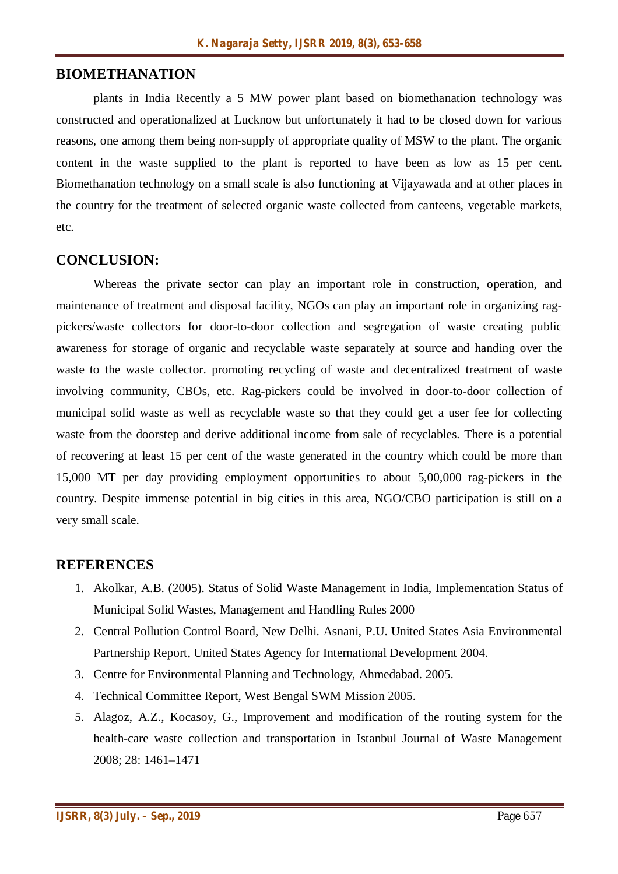#### **BIOMETHANATION**

plants in India Recently a 5 MW power plant based on biomethanation technology was constructed and operationalized at Lucknow but unfortunately it had to be closed down for various reasons, one among them being non-supply of appropriate quality of MSW to the plant. The organic content in the waste supplied to the plant is reported to have been as low as 15 per cent. Biomethanation technology on a small scale is also functioning at Vijayawada and at other places in the country for the treatment of selected organic waste collected from canteens, vegetable markets, etc.

#### **CONCLUSION:**

Whereas the private sector can play an important role in construction, operation, and maintenance of treatment and disposal facility, NGOs can play an important role in organizing ragpickers/waste collectors for door-to-door collection and segregation of waste creating public awareness for storage of organic and recyclable waste separately at source and handing over the waste to the waste collector. promoting recycling of waste and decentralized treatment of waste involving community, CBOs, etc. Rag-pickers could be involved in door-to-door collection of municipal solid waste as well as recyclable waste so that they could get a user fee for collecting waste from the doorstep and derive additional income from sale of recyclables. There is a potential of recovering at least 15 per cent of the waste generated in the country which could be more than 15,000 MT per day providing employment opportunities to about 5,00,000 rag-pickers in the country. Despite immense potential in big cities in this area, NGO/CBO participation is still on a very small scale.

#### **REFERENCES**

- 1. Akolkar, A.B. (2005). Status of Solid Waste Management in India, Implementation Status of Municipal Solid Wastes, Management and Handling Rules 2000
- 2. Central Pollution Control Board, New Delhi. Asnani, P.U. United States Asia Environmental Partnership Report, United States Agency for International Development 2004.
- 3. Centre for Environmental Planning and Technology, Ahmedabad. 2005.
- 4. Technical Committee Report, West Bengal SWM Mission 2005.
- 5. Alagoz, A.Z., Kocasoy, G., Improvement and modification of the routing system for the health-care waste collection and transportation in Istanbul Journal of Waste Management 2008; 28: 1461–1471